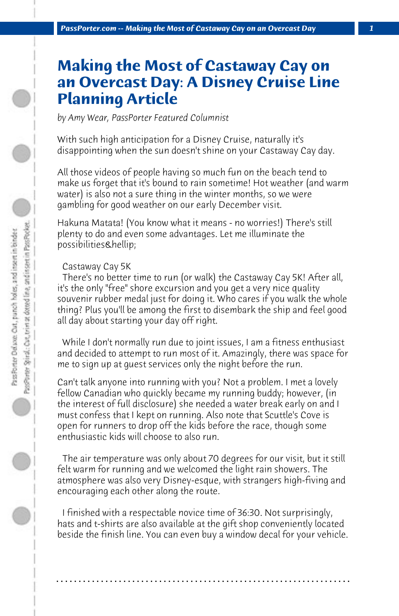# **Making the Most of Castaway Cay on an Overcast Day: A Disney Cruise Line Planning Article**

*by Amy Wear, PassPorter Featured Columnist*

With such high anticipation for a Disney Cruise, naturally it's disappointing when the sun doesn't shine on your Castaway Cay day.

All those videos of people having so much fun on the beach tend to make us forget that it's bound to rain sometime! Hot weather (and warm water) is also not a sure thing in the winter months, so we were gambling for good weather on our early December visit.

Hakuna Matata! (You know what it means - no worries!) There's still plenty to do and even some advantages. Let me illuminate the possibilities…

# Castaway Cay 5K

 There's no better time to run (or walk) the Castaway Cay 5K! After all, it's the only "free" shore excursion and you get a very nice quality souvenir rubber medal just for doing it. Who cares if you walk the whole thing? Plus you'll be among the first to disembark the ship and feel good all day about starting your day off right.

 While I don't normally run due to joint issues, I am a fitness enthusiast and decided to attempt to run most of it. Amazingly, there was space for me to sign up at guest services only the night before the run.

Can't talk anyone into running with you? Not a problem. I met a lovely fellow Canadian who quickly became my running buddy; however, (in the interest of full disclosure) she needed a water break early on and I must confess that I kept on running. Also note that Scuttle's Cove is open for runners to drop off the kids before the race, though some enthusiastic kids will choose to also run.

 The air temperature was only about 70 degrees for our visit, but it still felt warm for running and we welcomed the light rain showers. The atmosphere was also very Disney-esque, with strangers high-fiving and encouraging each other along the route.

 I finished with a respectable novice time of 36:30. Not surprisingly, hats and t-shirts are also available at the gift shop conveniently located beside the finish line. You can even buy a window decal for your vehicle.

**. . . . . . . . . . . . . . . . . . . . . . . . . . . . . . . . . . . . . . . . . . . . . . . . . . . . . . . . . . . . . . . . . .**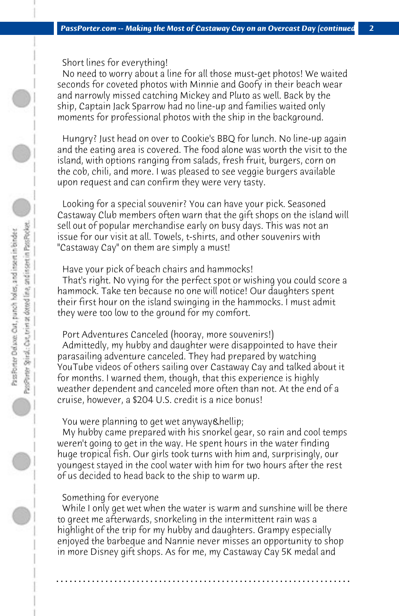Short lines for everything!

 No need to worry about a line for all those must-get photos! We waited seconds for coveted photos with Minnie and Goofy in their beach wear and narrowly missed catching Mickey and Pluto as well. Back by the ship, Captain Jack Sparrow had no line-up and families waited only moments for professional photos with the ship in the background.

 Hungry? Just head on over to Cookie's BBQ for lunch. No line-up again and the eating area is covered. The food alone was worth the visit to the island, with options ranging from salads, fresh fruit, burgers, corn on the cob, chili, and more. I was pleased to see veggie burgers available upon request and can confirm they were very tasty.

 Looking for a special souvenir? You can have your pick. Seasoned Castaway Club members often warn that the gift shops on the island will sell out of popular merchandise early on busy days. This was not an issue for our visit at all. Towels, t-shirts, and other souvenirs with "Castaway Cay" on them are simply a must!

#### Have your pick of beach chairs and hammocks!

 That's right. No vying for the perfect spot or wishing you could score a hammock. Take ten because no one will notice! Our daughters spent their first hour on the island swinging in the hammocks. I must admit they were too low to the ground for my comfort.

### Port Adventures Canceled (hooray, more souvenirs!)

 Admittedly, my hubby and daughter were disappointed to have their parasailing adventure canceled. They had prepared by watching YouTube videos of others sailing over Castaway Cay and talked about it for months. I warned them, though, that this experience is highly weather dependent and canceled more often than not. At the end of a cruise, however, a \$204 U.S. credit is a nice bonus!

#### You were planning to get wet anyway & hellip;

 My hubby came prepared with his snorkel gear, so rain and cool temps weren't going to get in the way. He spent hours in the water finding huge tropical fish. Our girls took turns with him and, surprisingly, our youngest stayed in the cool water with him for two hours after the rest of us decided to head back to the ship to warm up.

#### Something for everyone

 While I only get wet when the water is warm and sunshine will be there to greet me afterwards, snorkeling in the intermittent rain was a highlight of the trip for my hubby and daughters. Grampy especially enjoyed the barbeque and Nannie never misses an opportunity to shop in more Disney gift shops. As for me, my Castaway Cay 5K medal and

**. . . . . . . . . . . . . . . . . . . . . . . . . . . . . . . . . . . . . . . . . . . . . . . . . . . . . . . . . . . . . . . . . .**